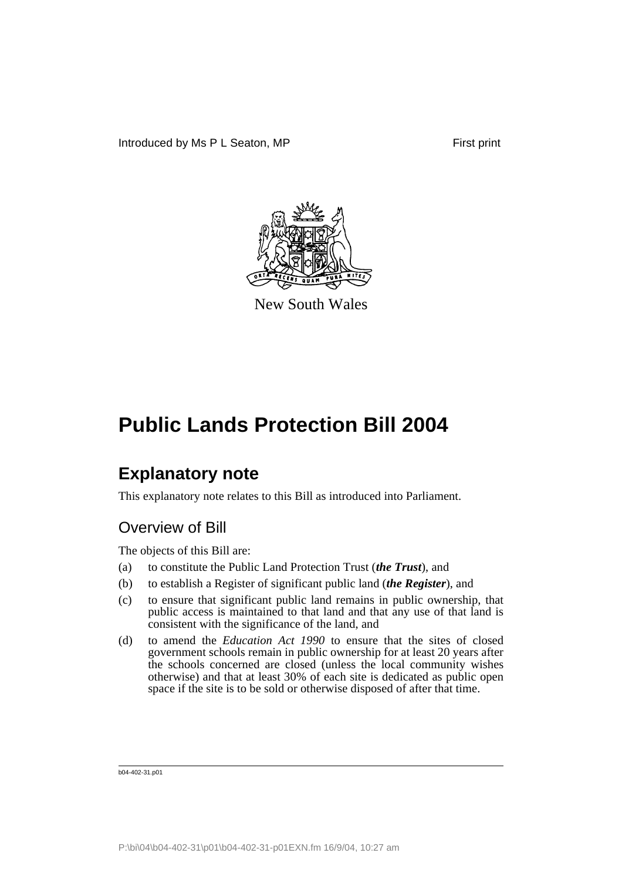

New South Wales

# **Explanatory note**

This explanatory note relates to this Bill as introduced into Parliament.

# Overview of Bill

The objects of this Bill are:

- (a) to constitute the Public Land Protection Trust (*the Trust*), and
- (b) to establish a Register of significant public land (*the Register*), and
- (c) to ensure that significant public land remains in public ownership, that public access is maintained to that land and that any use of that land is consistent with the significance of the land, and
- (d) to amend the *Education Act 1990* to ensure that the sites of closed government schools remain in public ownership for at least 20 years after the schools concerned are closed (unless the local community wishes otherwise) and that at least 30% of each site is dedicated as public open space if the site is to be sold or otherwise disposed of after that time.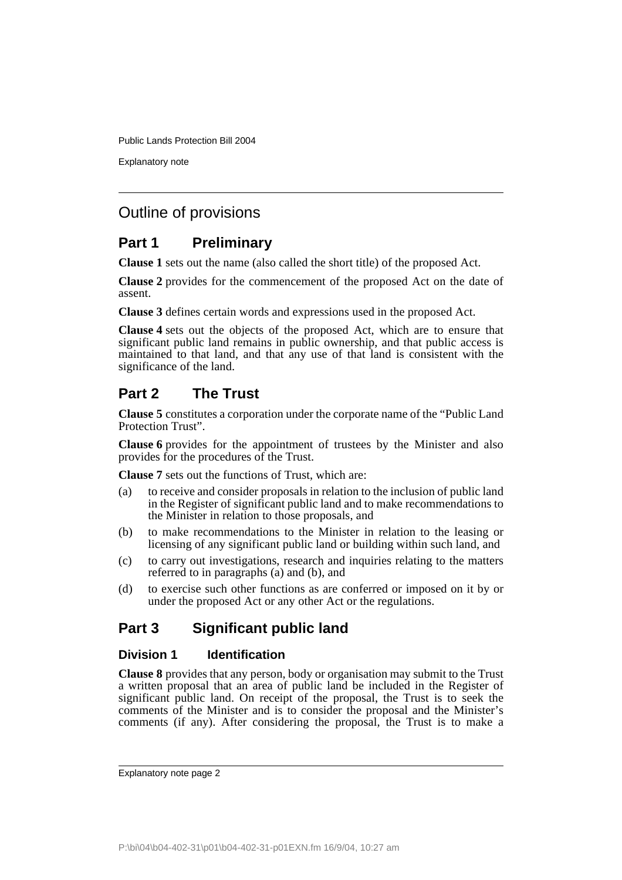Explanatory note

# Outline of provisions

## **Part 1 Preliminary**

**Clause 1** sets out the name (also called the short title) of the proposed Act.

**Clause 2** provides for the commencement of the proposed Act on the date of assent.

**Clause 3** defines certain words and expressions used in the proposed Act.

**Clause 4** sets out the objects of the proposed Act, which are to ensure that significant public land remains in public ownership, and that public access is maintained to that land, and that any use of that land is consistent with the significance of the land.

## **Part 2 The Trust**

**Clause 5** constitutes a corporation under the corporate name of the "Public Land Protection Trust".

**Clause 6** provides for the appointment of trustees by the Minister and also provides for the procedures of the Trust.

**Clause 7** sets out the functions of Trust, which are:

- (a) to receive and consider proposals in relation to the inclusion of public land in the Register of significant public land and to make recommendations to the Minister in relation to those proposals, and
- (b) to make recommendations to the Minister in relation to the leasing or licensing of any significant public land or building within such land, and
- (c) to carry out investigations, research and inquiries relating to the matters referred to in paragraphs (a) and (b), and
- (d) to exercise such other functions as are conferred or imposed on it by or under the proposed Act or any other Act or the regulations.

# **Part 3 Significant public land**

## **Division 1 Identification**

**Clause 8** provides that any person, body or organisation may submit to the Trust a written proposal that an area of public land be included in the Register of significant public land. On receipt of the proposal, the Trust is to seek the comments of the Minister and is to consider the proposal and the Minister's comments (if any). After considering the proposal, the Trust is to make a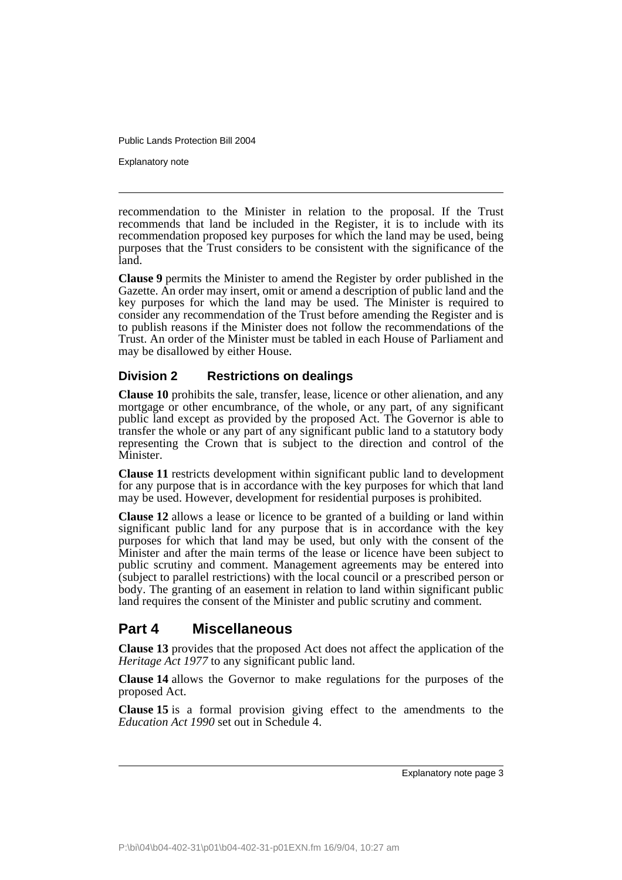Explanatory note

recommendation to the Minister in relation to the proposal. If the Trust recommends that land be included in the Register, it is to include with its recommendation proposed key purposes for which the land may be used, being purposes that the Trust considers to be consistent with the significance of the land.

**Clause 9** permits the Minister to amend the Register by order published in the Gazette. An order may insert, omit or amend a description of public land and the key purposes for which the land may be used. The Minister is required to consider any recommendation of the Trust before amending the Register and is to publish reasons if the Minister does not follow the recommendations of the Trust. An order of the Minister must be tabled in each House of Parliament and may be disallowed by either House.

## **Division 2 Restrictions on dealings**

**Clause 10** prohibits the sale, transfer, lease, licence or other alienation, and any mortgage or other encumbrance, of the whole, or any part, of any significant public land except as provided by the proposed Act. The Governor is able to transfer the whole or any part of any significant public land to a statutory body representing the Crown that is subject to the direction and control of the Minister.

**Clause 11** restricts development within significant public land to development for any purpose that is in accordance with the key purposes for which that land may be used. However, development for residential purposes is prohibited.

**Clause 12** allows a lease or licence to be granted of a building or land within significant public land for any purpose that is in accordance with the key purposes for which that land may be used, but only with the consent of the Minister and after the main terms of the lease or licence have been subject to public scrutiny and comment. Management agreements may be entered into (subject to parallel restrictions) with the local council or a prescribed person or body. The granting of an easement in relation to land within significant public land requires the consent of the Minister and public scrutiny and comment.

# **Part 4 Miscellaneous**

**Clause 13** provides that the proposed Act does not affect the application of the *Heritage Act 1977* to any significant public land.

**Clause 14** allows the Governor to make regulations for the purposes of the proposed Act.

**Clause 15** is a formal provision giving effect to the amendments to the *Education Act 1990* set out in Schedule 4.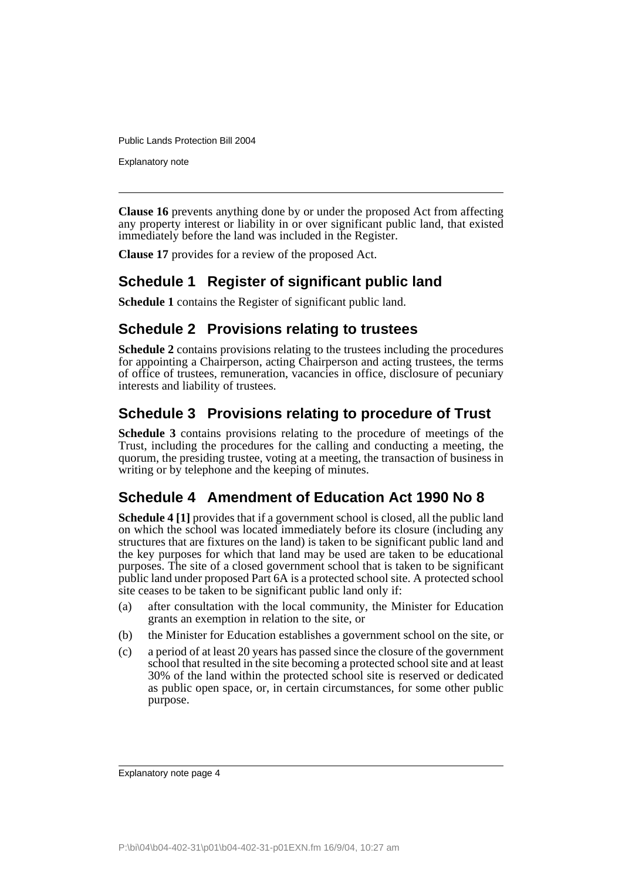Explanatory note

**Clause 16** prevents anything done by or under the proposed Act from affecting any property interest or liability in or over significant public land, that existed immediately before the land was included in the Register.

**Clause 17** provides for a review of the proposed Act.

# **Schedule 1 Register of significant public land**

**Schedule 1** contains the Register of significant public land.

## **Schedule 2 Provisions relating to trustees**

**Schedule 2** contains provisions relating to the trustees including the procedures for appointing a Chairperson, acting Chairperson and acting trustees, the terms of office of trustees, remuneration, vacancies in office, disclosure of pecuniary interests and liability of trustees.

# **Schedule 3 Provisions relating to procedure of Trust**

**Schedule 3** contains provisions relating to the procedure of meetings of the Trust, including the procedures for the calling and conducting a meeting, the quorum, the presiding trustee, voting at a meeting, the transaction of business in writing or by telephone and the keeping of minutes.

# **Schedule 4 Amendment of Education Act 1990 No 8**

**Schedule 4 [1]** provides that if a government school is closed, all the public land on which the school was located immediately before its closure (including any structures that are fixtures on the land) is taken to be significant public land and the key purposes for which that land may be used are taken to be educational purposes. The site of a closed government school that is taken to be significant public land under proposed Part 6A is a protected school site. A protected school site ceases to be taken to be significant public land only if:

- (a) after consultation with the local community, the Minister for Education grants an exemption in relation to the site, or
- (b) the Minister for Education establishes a government school on the site, or
- (c) a period of at least 20 years has passed since the closure of the government school that resulted in the site becoming a protected school site and at least 30% of the land within the protected school site is reserved or dedicated as public open space, or, in certain circumstances, for some other public purpose.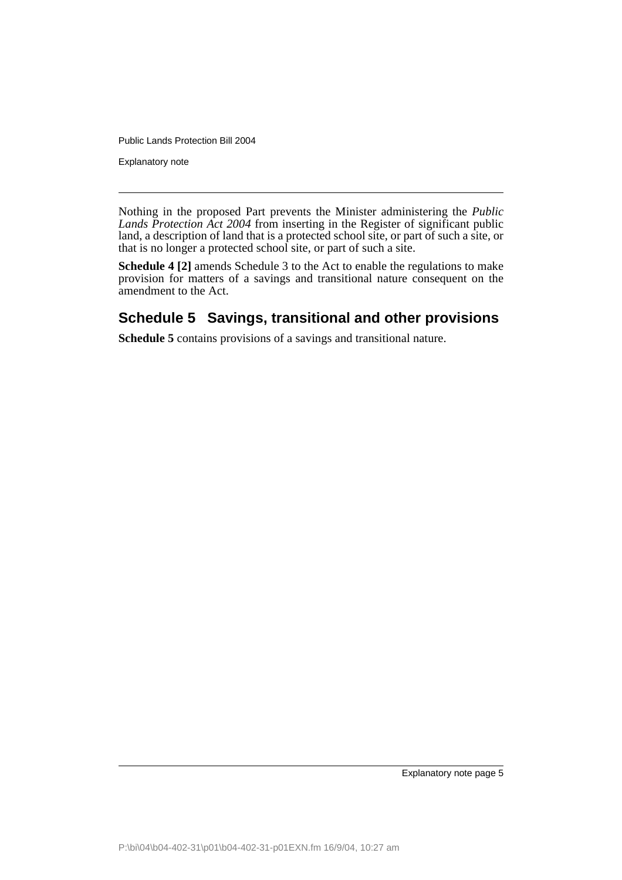Explanatory note

Nothing in the proposed Part prevents the Minister administering the *Public Lands Protection Act 2004* from inserting in the Register of significant public land, a description of land that is a protected school site, or part of such a site, or that is no longer a protected school site, or part of such a site.

**Schedule 4 [2]** amends Schedule 3 to the Act to enable the regulations to make provision for matters of a savings and transitional nature consequent on the amendment to the Act.

# **Schedule 5 Savings, transitional and other provisions**

**Schedule 5** contains provisions of a savings and transitional nature.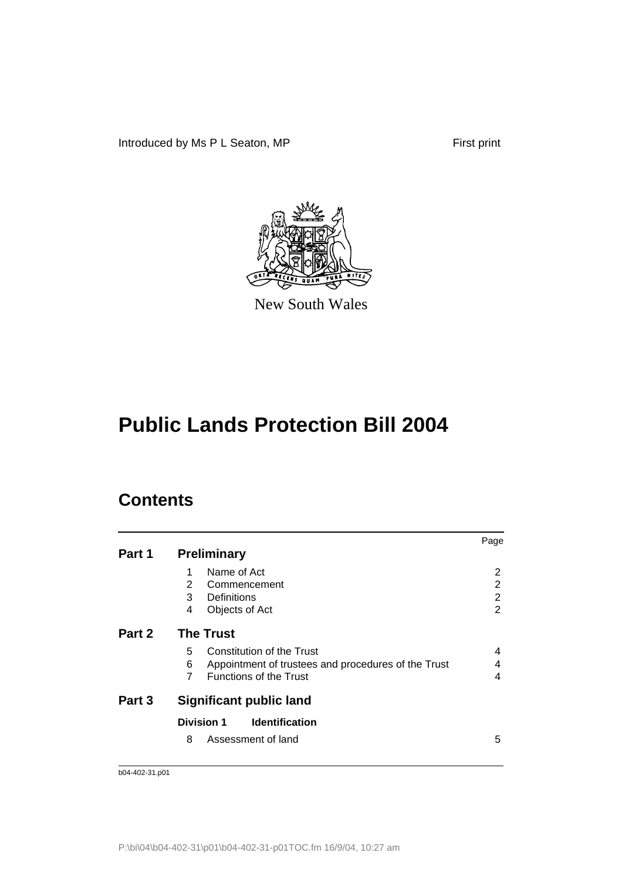Introduced by Ms P L Seaton, MP First print



New South Wales

# **Public Lands Protection Bill 2004**

# **Contents**

|        |                                                                                                                                               | Page           |
|--------|-----------------------------------------------------------------------------------------------------------------------------------------------|----------------|
| Part 1 | <b>Preliminary</b>                                                                                                                            |                |
|        | Name of Act<br>1<br>2<br>Commencement                                                                                                         | 2<br>2         |
|        | 3<br>Definitions                                                                                                                              | $\overline{2}$ |
|        | 4<br>Objects of Act                                                                                                                           | 2              |
| Part 2 | <b>The Trust</b>                                                                                                                              |                |
|        | Constitution of the Trust<br>5<br>6<br>Appointment of trustees and procedures of the Trust<br>$\overline{7}$<br><b>Functions of the Trust</b> | 4<br>4<br>4    |
| Part 3 | <b>Significant public land</b>                                                                                                                |                |
|        | <b>Division 1</b><br><b>Identification</b>                                                                                                    |                |
|        | 8<br>Assessment of land                                                                                                                       | 5              |
|        |                                                                                                                                               |                |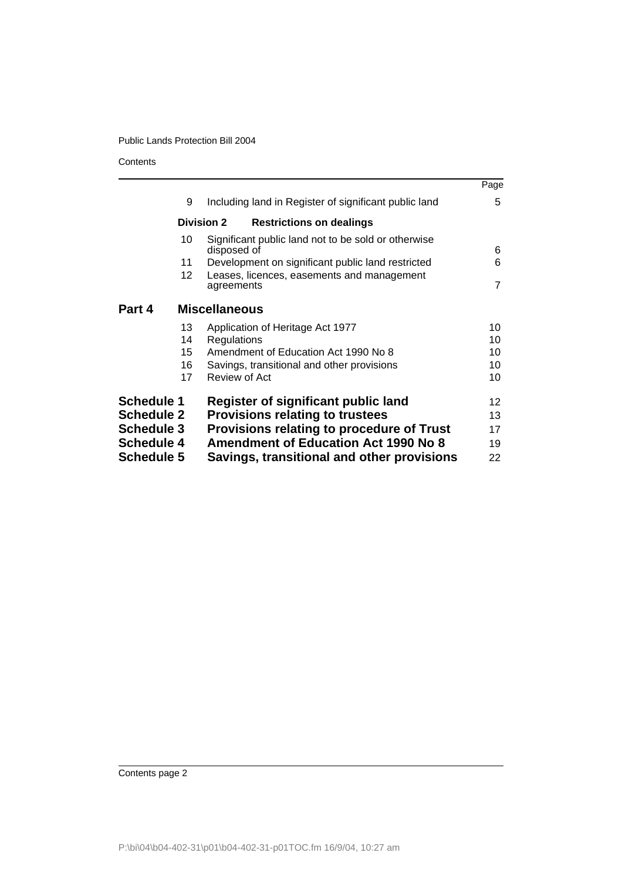**Contents** 

|                                        |                 |                                                                    | Page            |
|----------------------------------------|-----------------|--------------------------------------------------------------------|-----------------|
|                                        | 9               | Including land in Register of significant public land              | 5               |
|                                        |                 | <b>Division 2</b><br><b>Restrictions on dealings</b>               |                 |
|                                        | 10              | Significant public land not to be sold or otherwise<br>disposed of | 6               |
|                                        | 11              | Development on significant public land restricted                  | 6               |
|                                        | 12 <sup>2</sup> | Leases, licences, easements and management<br>agreements           | $\overline{7}$  |
| Part 4                                 |                 | <b>Miscellaneous</b>                                               |                 |
|                                        | 13              | Application of Heritage Act 1977                                   | 10              |
|                                        | 14              | Regulations                                                        | 10              |
|                                        | 15              | Amendment of Education Act 1990 No 8                               | 10              |
|                                        | 16              | Savings, transitional and other provisions                         | 10              |
|                                        | 17              | Review of Act                                                      | 10              |
| <b>Schedule 1</b>                      |                 | Register of significant public land                                | 12 <sup>2</sup> |
| <b>Schedule 2</b>                      |                 | <b>Provisions relating to trustees</b>                             | 13              |
| <b>Schedule 3</b><br><b>Schedule 4</b> |                 | Provisions relating to procedure of Trust                          | 17              |
|                                        |                 | <b>Amendment of Education Act 1990 No 8</b>                        | 19              |
| <b>Schedule 5</b>                      |                 | Savings, transitional and other provisions                         | 22              |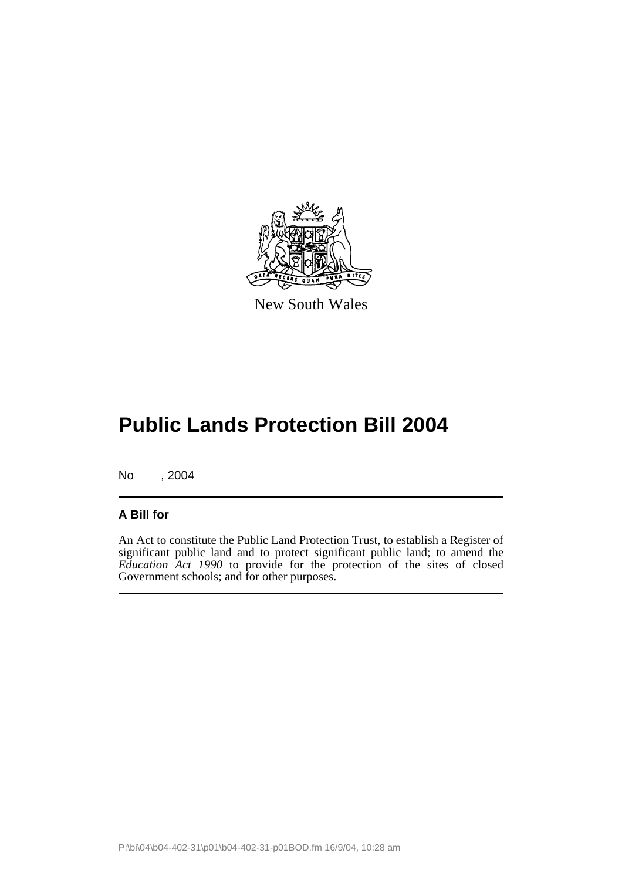

New South Wales

# **Public Lands Protection Bill 2004**

No , 2004

## **A Bill for**

An Act to constitute the Public Land Protection Trust, to establish a Register of significant public land and to protect significant public land; to amend the *Education Act 1990* to provide for the protection of the sites of closed Government schools; and for other purposes.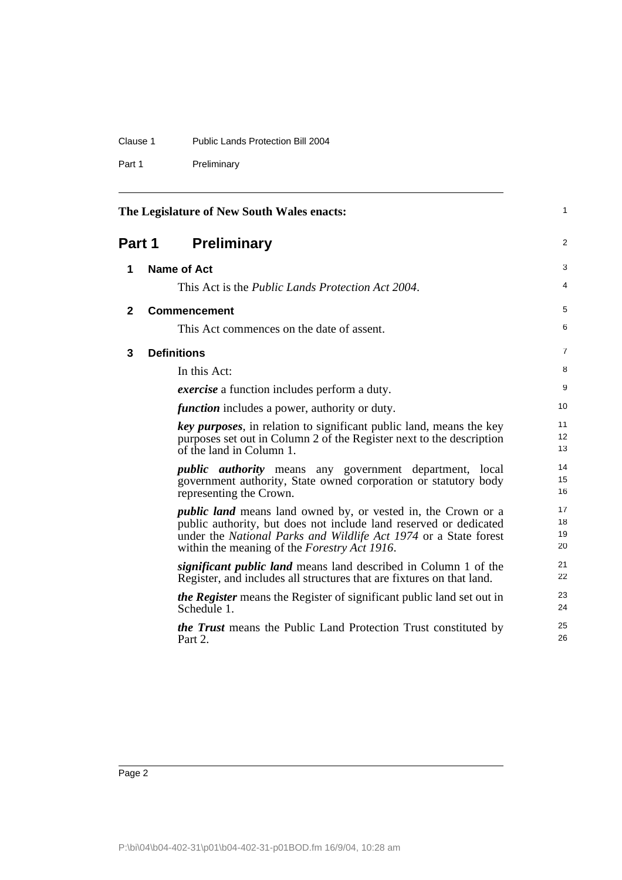| Clause 1 | Public Lands Protection Bill 2004 |
|----------|-----------------------------------|
|          |                                   |

Part 1 Preliminary

<span id="page-9-3"></span><span id="page-9-2"></span><span id="page-9-1"></span><span id="page-9-0"></span>

|              | The Legislature of New South Wales enacts:                                                                                                                                                                                                                            |                      |
|--------------|-----------------------------------------------------------------------------------------------------------------------------------------------------------------------------------------------------------------------------------------------------------------------|----------------------|
| Part 1       | <b>Preliminary</b>                                                                                                                                                                                                                                                    | $\overline{2}$       |
| 1            | <b>Name of Act</b>                                                                                                                                                                                                                                                    | 3                    |
|              | This Act is the <i>Public Lands Protection Act 2004</i> .                                                                                                                                                                                                             | $\overline{4}$       |
| $\mathbf{2}$ | <b>Commencement</b>                                                                                                                                                                                                                                                   | 5                    |
|              | This Act commences on the date of assent.                                                                                                                                                                                                                             | 6                    |
| 3            | <b>Definitions</b>                                                                                                                                                                                                                                                    | 7                    |
|              | In this Act:                                                                                                                                                                                                                                                          | 8                    |
|              | <i>exercise</i> a function includes perform a duty.                                                                                                                                                                                                                   | 9                    |
|              | <i>function</i> includes a power, authority or duty.                                                                                                                                                                                                                  | 10                   |
|              | key purposes, in relation to significant public land, means the key<br>purposes set out in Column 2 of the Register next to the description<br>of the land in Column 1.                                                                                               | 11<br>12<br>13       |
|              | <i>public authority</i> means any government department, local<br>government authority, State owned corporation or statutory body<br>representing the Crown.                                                                                                          | 14<br>15<br>16       |
|              | <i>public land</i> means land owned by, or vested in, the Crown or a<br>public authority, but does not include land reserved or dedicated<br>under the National Parks and Wildlife Act 1974 or a State forest<br>within the meaning of the <i>Forestry Act 1916</i> . | 17<br>18<br>19<br>20 |
|              | <i>significant public land</i> means land described in Column 1 of the<br>Register, and includes all structures that are fixtures on that land.                                                                                                                       | 21<br>22             |
|              | <i>the Register</i> means the Register of significant public land set out in<br>Schedule 1.                                                                                                                                                                           | 23<br>24             |
|              | <i>the Trust</i> means the Public Land Protection Trust constituted by<br>Part 2.                                                                                                                                                                                     | 25<br>26             |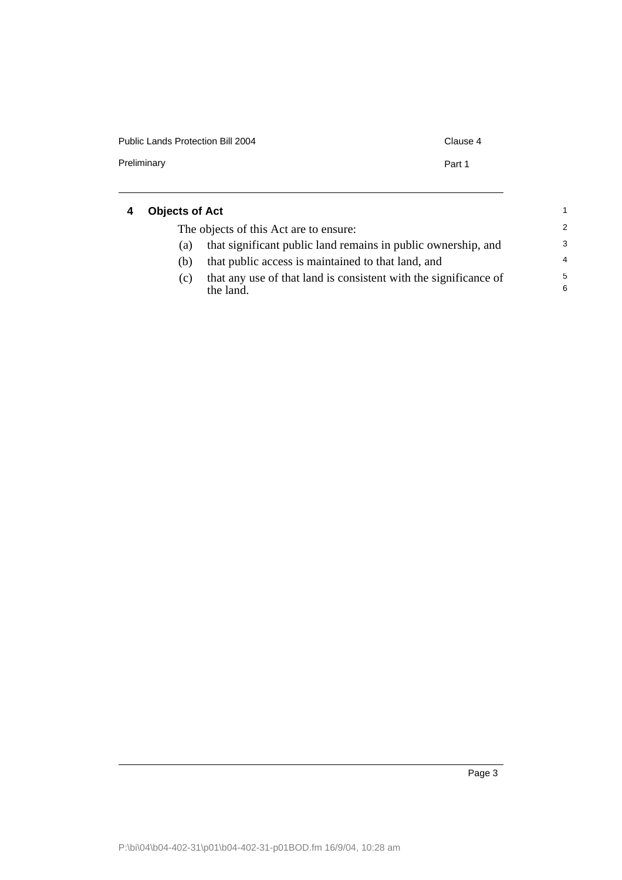| Public Lands Protection Bill 2004 | Clause 4 |
|-----------------------------------|----------|
| Preliminary                       | Part 1   |
|                                   |          |

#### <span id="page-10-0"></span>**4 Objects of Act** The objects of this Act are to ensure: (a) that significant public land remains in public ownership, and (b) that public access is maintained to that land, and (c) that any use of that land is consistent with the significance of the land. 1 2 3 4 5 6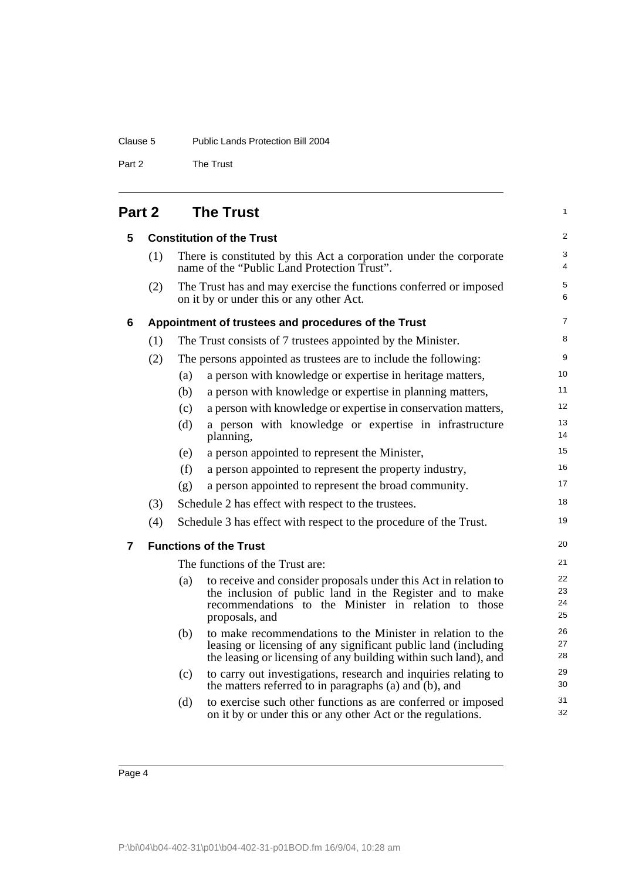## Clause 5 Public Lands Protection Bill 2004

Part 2 The Trust

# <span id="page-11-1"></span><span id="page-11-0"></span>**Part 2 The Trust**

<span id="page-11-3"></span><span id="page-11-2"></span>

| 5 |     |     | <b>Constitution of the Trust</b>                                                                                                                                                                      | $\overline{2}$       |
|---|-----|-----|-------------------------------------------------------------------------------------------------------------------------------------------------------------------------------------------------------|----------------------|
|   | (1) |     | There is constituted by this Act a corporation under the corporate<br>name of the "Public Land Protection Trust".                                                                                     | 3<br>$\overline{4}$  |
|   | (2) |     | The Trust has and may exercise the functions conferred or imposed<br>on it by or under this or any other Act.                                                                                         | 5<br>6               |
| 6 |     |     | Appointment of trustees and procedures of the Trust                                                                                                                                                   | $\overline{7}$       |
|   | (1) |     | The Trust consists of 7 trustees appointed by the Minister.                                                                                                                                           | 8                    |
|   | (2) |     | The persons appointed as trustees are to include the following:                                                                                                                                       | 9                    |
|   |     | (a) | a person with knowledge or expertise in heritage matters,                                                                                                                                             | 10 <sup>1</sup>      |
|   |     | (b) | a person with knowledge or expertise in planning matters,                                                                                                                                             | 11                   |
|   |     | (c) | a person with knowledge or expertise in conservation matters,                                                                                                                                         | 12                   |
|   |     | (d) | a person with knowledge or expertise in infrastructure<br>planning,                                                                                                                                   | 13<br>14             |
|   |     | (e) | a person appointed to represent the Minister,                                                                                                                                                         | 15                   |
|   |     | (f) | a person appointed to represent the property industry,                                                                                                                                                | 16                   |
|   |     | (g) | a person appointed to represent the broad community.                                                                                                                                                  | 17                   |
|   | (3) |     | Schedule 2 has effect with respect to the trustees.                                                                                                                                                   | 18                   |
|   | (4) |     | Schedule 3 has effect with respect to the procedure of the Trust.                                                                                                                                     | 19                   |
| 7 |     |     | <b>Functions of the Trust</b>                                                                                                                                                                         | 20                   |
|   |     |     | The functions of the Trust are:                                                                                                                                                                       | 21                   |
|   |     | (a) | to receive and consider proposals under this Act in relation to<br>the inclusion of public land in the Register and to make<br>recommendations to the Minister in relation to those<br>proposals, and | 22<br>23<br>24<br>25 |
|   |     | (b) | to make recommendations to the Minister in relation to the<br>leasing or licensing of any significant public land (including<br>the leasing or licensing of any building within such land), and       | 26<br>27<br>28       |
|   |     | (c) | to carry out investigations, research and inquiries relating to<br>the matters referred to in paragraphs (a) and (b), and                                                                             | 29<br>30             |
|   |     | (d) | to exercise such other functions as are conferred or imposed<br>on it by or under this or any other Act or the regulations.                                                                           | 31<br>32             |
|   |     |     |                                                                                                                                                                                                       |                      |

1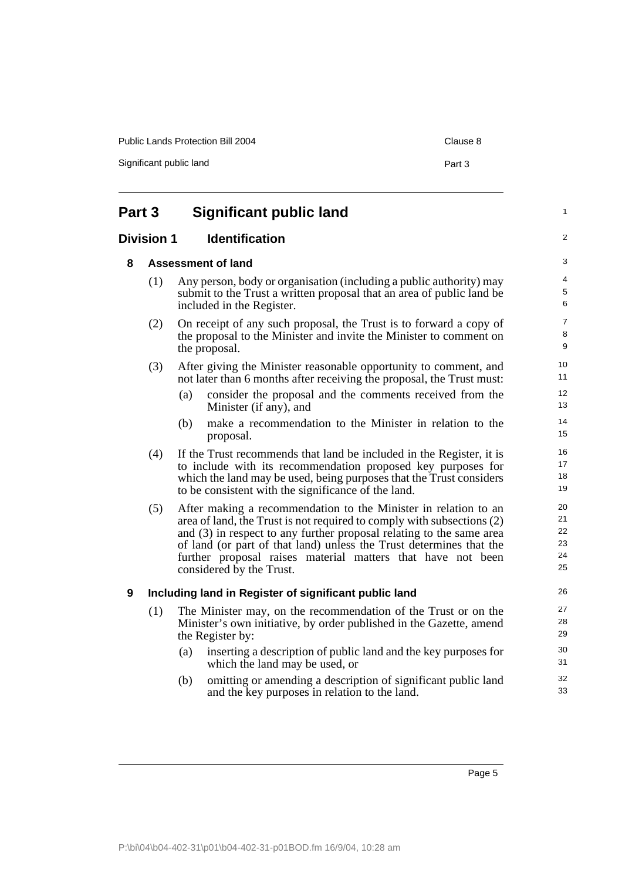<span id="page-12-3"></span><span id="page-12-2"></span><span id="page-12-1"></span><span id="page-12-0"></span>

| Part 3            | <b>Significant public land</b>                                                                                                                                                                                                                                                                                                                                                      |
|-------------------|-------------------------------------------------------------------------------------------------------------------------------------------------------------------------------------------------------------------------------------------------------------------------------------------------------------------------------------------------------------------------------------|
| <b>Division 1</b> | <b>Identification</b>                                                                                                                                                                                                                                                                                                                                                               |
| 8                 | Assessment of land                                                                                                                                                                                                                                                                                                                                                                  |
| (1)               | Any person, body or organisation (including a public authority) may<br>submit to the Trust a written proposal that an area of public land be<br>included in the Register.                                                                                                                                                                                                           |
| (2)               | On receipt of any such proposal, the Trust is to forward a copy of<br>the proposal to the Minister and invite the Minister to comment on<br>the proposal.                                                                                                                                                                                                                           |
| (3)               | After giving the Minister reasonable opportunity to comment, and<br>not later than 6 months after receiving the proposal, the Trust must:                                                                                                                                                                                                                                           |
|                   | consider the proposal and the comments received from the<br>(a)<br>Minister (if any), and                                                                                                                                                                                                                                                                                           |
|                   | make a recommendation to the Minister in relation to the<br>(b)<br>proposal.                                                                                                                                                                                                                                                                                                        |
| (4)               | If the Trust recommends that land be included in the Register, it is<br>to include with its recommendation proposed key purposes for<br>which the land may be used, being purposes that the Trust considers<br>to be consistent with the significance of the land.                                                                                                                  |
| (5)               | After making a recommendation to the Minister in relation to an<br>area of land, the Trust is not required to comply with subsections (2)<br>and (3) in respect to any further proposal relating to the same area<br>of land (or part of that land) unless the Trust determines that the<br>further proposal raises material matters that have not been<br>considered by the Trust. |
| 9                 | Including land in Register of significant public land                                                                                                                                                                                                                                                                                                                               |
| (1)               | The Minister may, on the recommendation of the Trust or on the<br>Minister's own initiative, by order published in the Gazette, amend<br>the Register by:                                                                                                                                                                                                                           |
|                   | inserting a description of public land and the key purposes for<br>(a)<br>which the land may be used, or                                                                                                                                                                                                                                                                            |
|                   | omitting or amending a description of significant public land<br>(b)<br>and the key purposes in relation to the land.                                                                                                                                                                                                                                                               |

Significant public land Part 3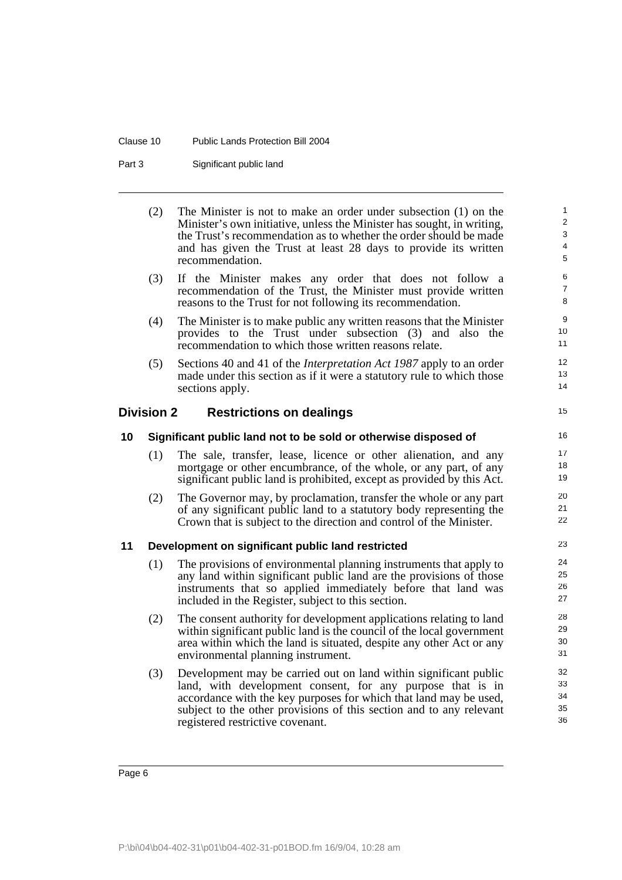#### Clause 10 Public Lands Protection Bill 2004

Part 3 Significant public land

(2) The Minister is not to make an order under subsection (1) on the Minister's own initiative, unless the Minister has sought, in writing, the Trust's recommendation as to whether the order should be made and has given the Trust at least 28 days to provide its written recommendation. (3) If the Minister makes any order that does not follow a recommendation of the Trust, the Minister must provide written reasons to the Trust for not following its recommendation. (4) The Minister is to make public any written reasons that the Minister provides to the Trust under subsection (3) and also the recommendation to which those written reasons relate. 10 11 12

13 14

15

(5) Sections 40 and 41 of the *Interpretation Act 1987* apply to an order made under this section as if it were a statutory rule to which those sections apply.

### <span id="page-13-0"></span>**Division 2 Restrictions on dealings**

#### <span id="page-13-1"></span>**10 Significant public land not to be sold or otherwise disposed of**

- (1) The sale, transfer, lease, licence or other alienation, and any mortgage or other encumbrance, of the whole, or any part, of any significant public land is prohibited, except as provided by this Act.
- (2) The Governor may, by proclamation, transfer the whole or any part of any significant public land to a statutory body representing the Crown that is subject to the direction and control of the Minister.

#### <span id="page-13-2"></span>**11 Development on significant public land restricted**

- (1) The provisions of environmental planning instruments that apply to any land within significant public land are the provisions of those instruments that so applied immediately before that land was included in the Register, subject to this section.
- (2) The consent authority for development applications relating to land within significant public land is the council of the local government area within which the land is situated, despite any other Act or any environmental planning instrument.
- (3) Development may be carried out on land within significant public land, with development consent, for any purpose that is in accordance with the key purposes for which that land may be used, subject to the other provisions of this section and to any relevant registered restrictive covenant.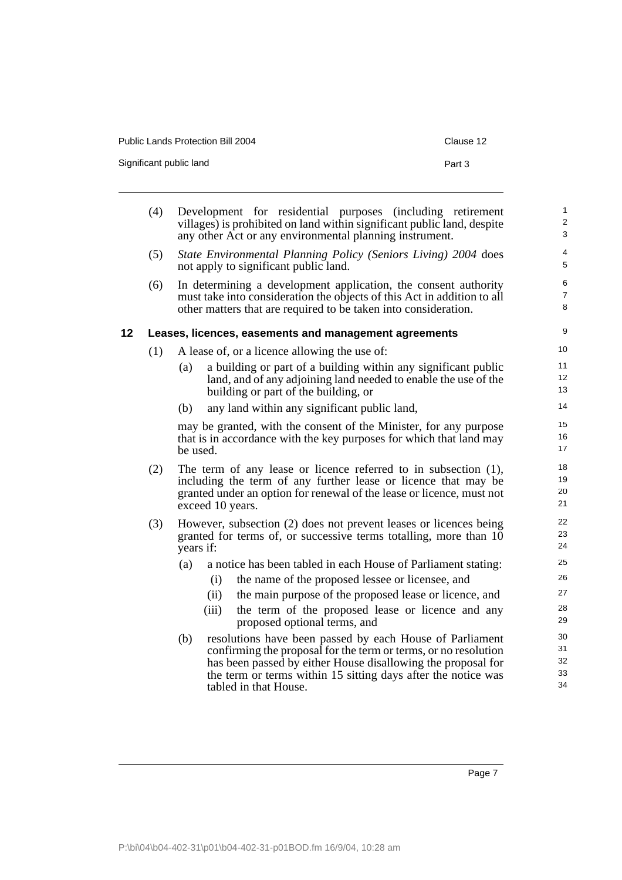| Public Lands Protection Bill 2004 | Clause 12 |
|-----------------------------------|-----------|
| Significant public land           | Part 3    |

<span id="page-14-0"></span>

|                 | (4) | Development for residential purposes (including retirement<br>villages) is prohibited on land within significant public land, despite<br>any other Act or any environmental planning instrument.                                                                                             | $\mathbf 1$<br>$\overline{\mathbf{c}}$<br>3 |
|-----------------|-----|----------------------------------------------------------------------------------------------------------------------------------------------------------------------------------------------------------------------------------------------------------------------------------------------|---------------------------------------------|
|                 | (5) | State Environmental Planning Policy (Seniors Living) 2004 does<br>not apply to significant public land.                                                                                                                                                                                      | $\overline{4}$<br>5                         |
|                 | (6) | In determining a development application, the consent authority<br>must take into consideration the objects of this Act in addition to all<br>other matters that are required to be taken into consideration.                                                                                | 6<br>7<br>8                                 |
| 12 <sub>2</sub> |     | Leases, licences, easements and management agreements                                                                                                                                                                                                                                        | 9                                           |
|                 | (1) | A lease of, or a licence allowing the use of:                                                                                                                                                                                                                                                | 10                                          |
|                 |     | a building or part of a building within any significant public<br>(a)<br>land, and of any adjoining land needed to enable the use of the<br>building or part of the building, or                                                                                                             | 11<br>12<br>13                              |
|                 |     | any land within any significant public land,<br>(b)                                                                                                                                                                                                                                          | 14                                          |
|                 |     | may be granted, with the consent of the Minister, for any purpose<br>that is in accordance with the key purposes for which that land may<br>be used.                                                                                                                                         | 15<br>16<br>17                              |
|                 | (2) | The term of any lease or licence referred to in subsection $(1)$ ,<br>including the term of any further lease or licence that may be<br>granted under an option for renewal of the lease or licence, must not<br>exceed 10 years.                                                            | 18<br>19<br>20<br>21                        |
|                 | (3) | However, subsection (2) does not prevent leases or licences being<br>granted for terms of, or successive terms totalling, more than 10<br>years if:                                                                                                                                          | 22<br>23<br>24                              |
|                 |     | (a)<br>a notice has been tabled in each House of Parliament stating:                                                                                                                                                                                                                         | 25                                          |
|                 |     | the name of the proposed lessee or licensee, and<br>(i)                                                                                                                                                                                                                                      | 26                                          |
|                 |     | (ii)<br>the main purpose of the proposed lease or licence, and                                                                                                                                                                                                                               | 27                                          |
|                 |     | the term of the proposed lease or licence and any<br>(iii)<br>proposed optional terms, and                                                                                                                                                                                                   | 28<br>29                                    |
|                 |     | resolutions have been passed by each House of Parliament<br>(b)<br>confirming the proposal for the term or terms, or no resolution<br>has been passed by either House disallowing the proposal for<br>the term or terms within 15 sitting days after the notice was<br>tabled in that House. | 30<br>31<br>32<br>33<br>34                  |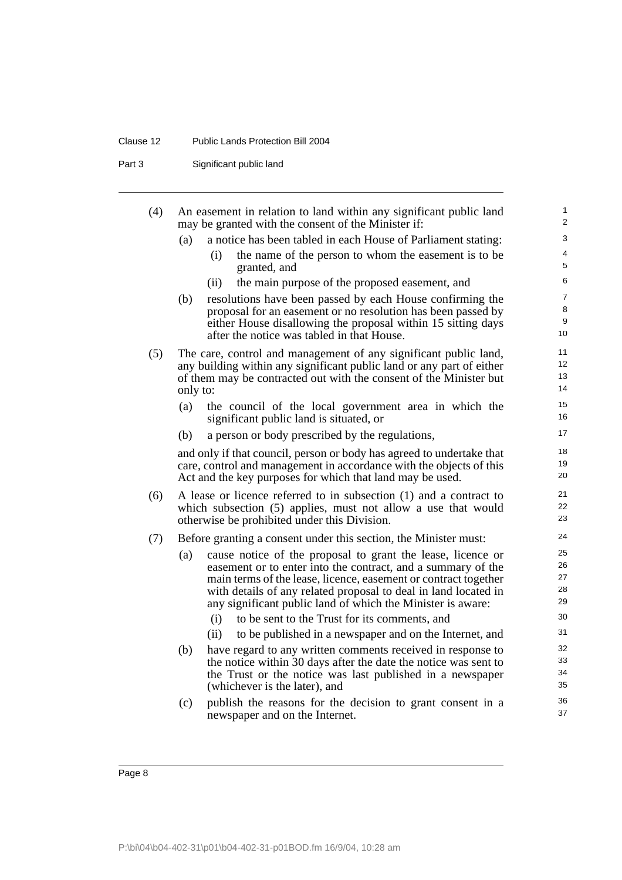### Clause 12 Public Lands Protection Bill 2004

Part 3 Significant public land

| (4) | An easement in relation to land within any significant public land<br>may be granted with the consent of the Minister if:                                                                                                                                                                                                               | 1<br>$\overline{2}$            |
|-----|-----------------------------------------------------------------------------------------------------------------------------------------------------------------------------------------------------------------------------------------------------------------------------------------------------------------------------------------|--------------------------------|
|     | (a)<br>a notice has been tabled in each House of Parliament stating:                                                                                                                                                                                                                                                                    | 3                              |
|     | the name of the person to whom the easement is to be<br>(i)<br>granted, and                                                                                                                                                                                                                                                             | 4<br>5                         |
|     | (ii)<br>the main purpose of the proposed easement, and                                                                                                                                                                                                                                                                                  | 6                              |
|     | (b)<br>resolutions have been passed by each House confirming the<br>proposal for an easement or no resolution has been passed by<br>either House disallowing the proposal within 15 sitting days<br>after the notice was tabled in that House.                                                                                          | $\overline{7}$<br>8<br>9<br>10 |
| (5) | The care, control and management of any significant public land,<br>any building within any significant public land or any part of either<br>of them may be contracted out with the consent of the Minister but<br>only to:                                                                                                             | 11<br>12<br>13<br>14           |
|     | (a)<br>the council of the local government area in which the<br>significant public land is situated, or                                                                                                                                                                                                                                 | 15<br>16                       |
|     | a person or body prescribed by the regulations,<br>(b)                                                                                                                                                                                                                                                                                  | 17                             |
|     | and only if that council, person or body has agreed to undertake that<br>care, control and management in accordance with the objects of this<br>Act and the key purposes for which that land may be used.                                                                                                                               | 18<br>19<br>20                 |
| (6) | A lease or licence referred to in subsection (1) and a contract to<br>which subsection (5) applies, must not allow a use that would<br>otherwise be prohibited under this Division.                                                                                                                                                     | 21<br>22<br>23                 |
| (7) | Before granting a consent under this section, the Minister must:                                                                                                                                                                                                                                                                        | 24                             |
|     | cause notice of the proposal to grant the lease, licence or<br>(a)<br>easement or to enter into the contract, and a summary of the<br>main terms of the lease, licence, easement or contract together<br>with details of any related proposal to deal in land located in<br>any significant public land of which the Minister is aware: | 25<br>26<br>27<br>28<br>29     |
|     | to be sent to the Trust for its comments, and<br>(i)                                                                                                                                                                                                                                                                                    | 30                             |
|     | (ii)<br>to be published in a newspaper and on the Internet, and                                                                                                                                                                                                                                                                         | 31                             |
|     | (b)<br>have regard to any written comments received in response to<br>the notice within 30 days after the date the notice was sent to<br>the Trust or the notice was last published in a newspaper<br>(whichever is the later), and                                                                                                     | 32<br>33<br>34<br>35           |
|     | (c)<br>publish the reasons for the decision to grant consent in a<br>newspaper and on the Internet.                                                                                                                                                                                                                                     | 36<br>37                       |
|     |                                                                                                                                                                                                                                                                                                                                         |                                |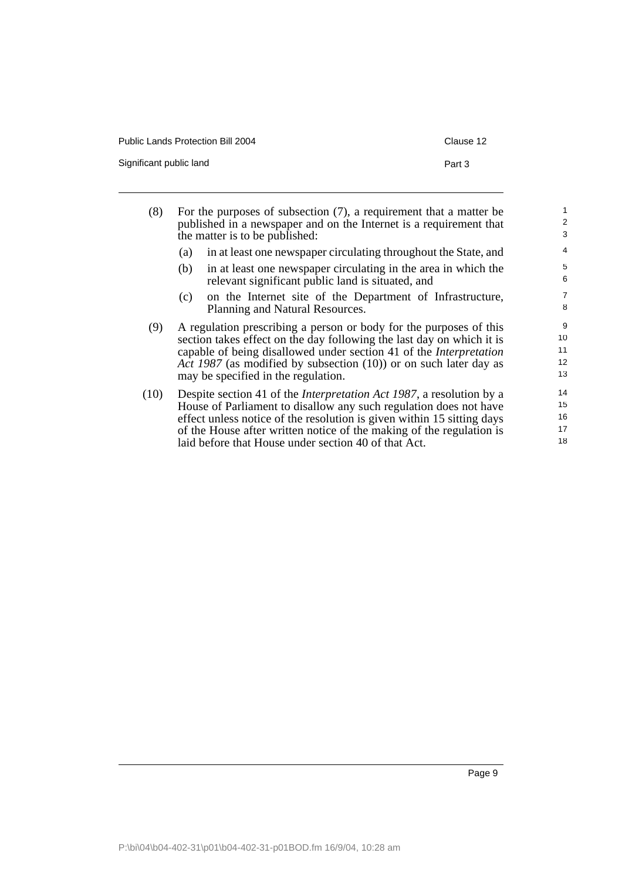| Public Lands Protection Bill 2004 | Clause 12 |
|-----------------------------------|-----------|
| Significant public land           | Part 3    |

| For the purposes of subsection $(7)$ , a requirement that a matter be<br>published in a newspaper and on the Internet is a requirement that<br>the matter is to be published:                                                                                                                                                                               | $\overline{\mathbf{c}}$<br>3 |
|-------------------------------------------------------------------------------------------------------------------------------------------------------------------------------------------------------------------------------------------------------------------------------------------------------------------------------------------------------------|------------------------------|
| in at least one newspaper circulating throughout the State, and<br>(a)                                                                                                                                                                                                                                                                                      | 4                            |
| in at least one newspaper circulating in the area in which the<br>(b)<br>relevant significant public land is situated, and                                                                                                                                                                                                                                  | 5<br>6                       |
| on the Internet site of the Department of Infrastructure,<br>(c)<br>Planning and Natural Resources.                                                                                                                                                                                                                                                         | 7<br>8                       |
| A regulation prescribing a person or body for the purposes of this<br>section takes effect on the day following the last day on which it is<br>capable of being disallowed under section 41 of the Interpretation<br>Act 1987 (as modified by subsection (10)) or on such later day as<br>may be specified in the regulation.                               | 9<br>10<br>11<br>12<br>13    |
| Despite section 41 of the <i>Interpretation Act 1987</i> , a resolution by a<br>House of Parliament to disallow any such regulation does not have<br>effect unless notice of the resolution is given within 15 sitting days<br>of the House after written notice of the making of the regulation is<br>laid before that House under section 40 of that Act. | 14<br>15<br>16<br>17<br>18   |
|                                                                                                                                                                                                                                                                                                                                                             |                              |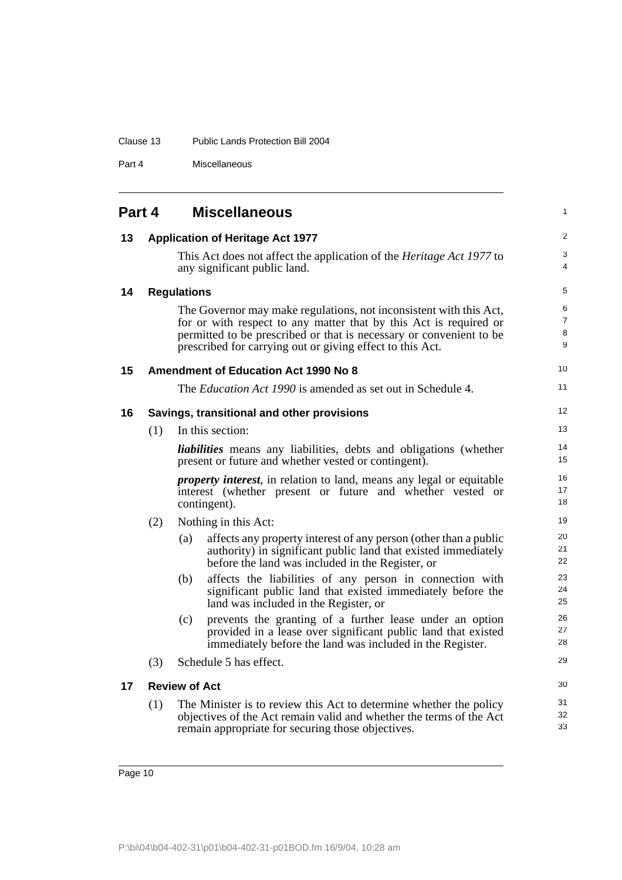| Clause 13<br>Public Lands Protection Bill 2004 |  |
|------------------------------------------------|--|
|------------------------------------------------|--|

Part 4 Miscellaneous

<span id="page-17-5"></span><span id="page-17-4"></span><span id="page-17-3"></span><span id="page-17-2"></span><span id="page-17-1"></span><span id="page-17-0"></span>

| Part 4 |     | <b>Miscellaneous</b>                                                                                                                                                                                                                                                        | 1                |
|--------|-----|-----------------------------------------------------------------------------------------------------------------------------------------------------------------------------------------------------------------------------------------------------------------------------|------------------|
| 13     |     | <b>Application of Heritage Act 1977</b>                                                                                                                                                                                                                                     | 2                |
|        |     | This Act does not affect the application of the <i>Heritage Act 1977</i> to<br>any significant public land.                                                                                                                                                                 | 3<br>4           |
| 14     |     | <b>Regulations</b>                                                                                                                                                                                                                                                          | 5                |
|        |     | The Governor may make regulations, not inconsistent with this Act,<br>for or with respect to any matter that by this Act is required or<br>permitted to be prescribed or that is necessary or convenient to be<br>prescribed for carrying out or giving effect to this Act. | 6<br>7<br>8<br>9 |
| 15     |     | <b>Amendment of Education Act 1990 No 8</b>                                                                                                                                                                                                                                 | 10               |
|        |     | The <i>Education Act 1990</i> is amended as set out in Schedule 4.                                                                                                                                                                                                          | 11               |
| 16     |     | Savings, transitional and other provisions                                                                                                                                                                                                                                  | 12               |
|        | (1) | In this section:                                                                                                                                                                                                                                                            | 13               |
|        |     | liabilities means any liabilities, debts and obligations (whether<br>present or future and whether vested or contingent).                                                                                                                                                   | 14<br>15         |
|        |     | <i>property interest</i> , in relation to land, means any legal or equitable<br>interest (whether present or future and whether vested or<br>contingent).                                                                                                                   | 16<br>17<br>18   |
|        | (2) | Nothing in this Act:                                                                                                                                                                                                                                                        | 19               |
|        |     | affects any property interest of any person (other than a public<br>(a)<br>authority) in significant public land that existed immediately<br>before the land was included in the Register, or                                                                               | 20<br>21<br>22   |
|        |     | affects the liabilities of any person in connection with<br>(b)<br>significant public land that existed immediately before the<br>land was included in the Register, or                                                                                                     | 23<br>24<br>25   |
|        |     | prevents the granting of a further lease under an option<br>(c)<br>provided in a lease over significant public land that existed<br>immediately before the land was included in the Register.                                                                               | 26<br>27<br>28   |
|        | (3) | Schedule 5 has effect.                                                                                                                                                                                                                                                      | 29               |
| 17     |     | <b>Review of Act</b>                                                                                                                                                                                                                                                        | 30               |
|        | (1) | The Minister is to review this Act to determine whether the policy<br>objectives of the Act remain valid and whether the terms of the Act<br>remain appropriate for securing those objectives.                                                                              | 31<br>32<br>33   |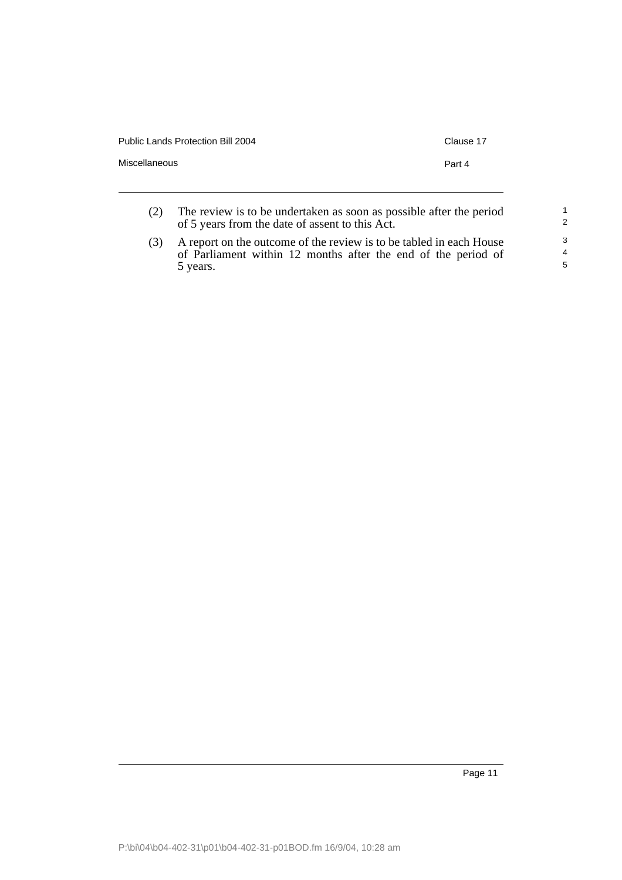| <b>Public Lands Protection Bill 2004</b> | Clause 17 |
|------------------------------------------|-----------|
| Miscellaneous                            | Part 4    |
|                                          |           |

| (2) | The review is to be undertaken as soon as possible after the period |
|-----|---------------------------------------------------------------------|
|     | of 5 years from the date of assent to this Act.                     |

(3) A report on the outcome of the review is to be tabled in each House of Parliament within 12 months after the end of the period of 5 years.

Page 11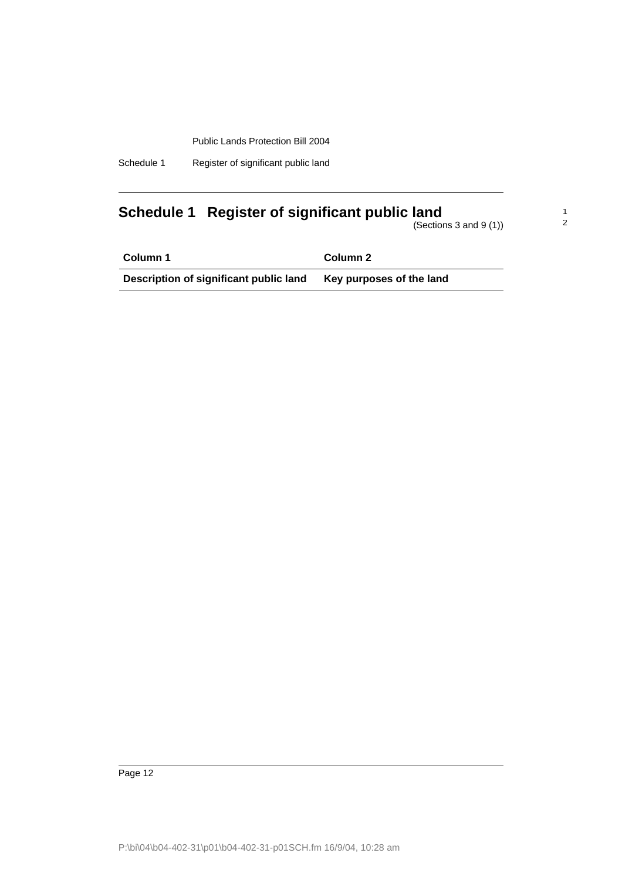| Schedule 1 |  |  | Register of significant public land |
|------------|--|--|-------------------------------------|
|------------|--|--|-------------------------------------|

# <span id="page-19-0"></span>**Schedule 1 Register of significant public land**

(Sections 3 and 9 (1))

1 2

| Column 1                               | Column 2                 |
|----------------------------------------|--------------------------|
| Description of significant public land | Key purposes of the land |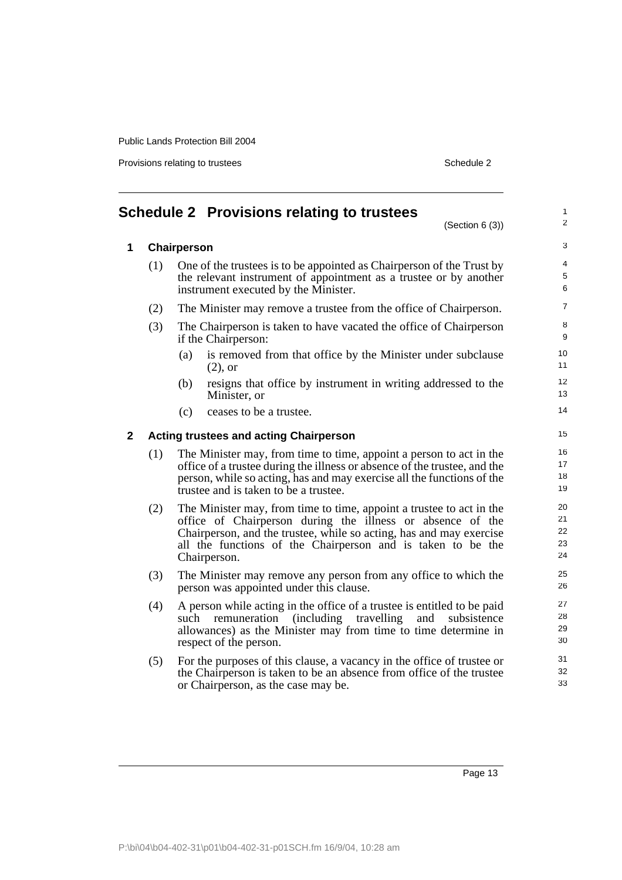Provisions relating to trustees Schedule 2

<span id="page-20-0"></span>

|              |     | <b>Schedule 2 Provisions relating to trustees</b><br>(Section 6 (3))                                                                                                                                                                                                                     | $\mathbf{1}$<br>$\overline{2}$             |
|--------------|-----|------------------------------------------------------------------------------------------------------------------------------------------------------------------------------------------------------------------------------------------------------------------------------------------|--------------------------------------------|
| $\mathbf{1}$ |     | Chairperson                                                                                                                                                                                                                                                                              | 3                                          |
|              | (1) | One of the trustees is to be appointed as Chairperson of the Trust by<br>the relevant instrument of appointment as a trustee or by another<br>instrument executed by the Minister.                                                                                                       | $\overline{\mathbf{4}}$<br>$\sqrt{5}$<br>6 |
|              | (2) | The Minister may remove a trustee from the office of Chairperson.                                                                                                                                                                                                                        | $\overline{7}$                             |
|              | (3) | The Chairperson is taken to have vacated the office of Chairperson<br>if the Chairperson:                                                                                                                                                                                                | 8<br>$9\,$                                 |
|              |     | is removed from that office by the Minister under subclause<br>(a)<br>$(2)$ , or                                                                                                                                                                                                         | 10<br>11                                   |
|              |     | resigns that office by instrument in writing addressed to the<br>(b)<br>Minister, or                                                                                                                                                                                                     | 12<br>13                                   |
|              |     | (c)<br>ceases to be a trustee.                                                                                                                                                                                                                                                           | 14                                         |
| $\mathbf{2}$ |     | <b>Acting trustees and acting Chairperson</b>                                                                                                                                                                                                                                            | 15                                         |
|              | (1) | The Minister may, from time to time, appoint a person to act in the<br>office of a trustee during the illness or absence of the trustee, and the<br>person, while so acting, has and may exercise all the functions of the<br>trustee and is taken to be a trustee.                      | 16<br>17<br>18<br>19                       |
|              | (2) | The Minister may, from time to time, appoint a trustee to act in the<br>office of Chairperson during the illness or absence of the<br>Chairperson, and the trustee, while so acting, has and may exercise<br>all the functions of the Chairperson and is taken to be the<br>Chairperson. | 20<br>21<br>22<br>23<br>24                 |
|              | (3) | The Minister may remove any person from any office to which the<br>person was appointed under this clause.                                                                                                                                                                               | 25<br>26                                   |
|              | (4) | A person while acting in the office of a trustee is entitled to be paid<br>(including travelling)<br>remuneration<br>and<br>subsistence<br>such<br>allowances) as the Minister may from time to time determine in<br>respect of the person.                                              | 27<br>28<br>29<br>30                       |
|              | (5) | For the purposes of this clause, a vacancy in the office of trustee or<br>the Chairperson is taken to be an absence from office of the trustee<br>or Chairperson, as the case may be.                                                                                                    | 31<br>32<br>33                             |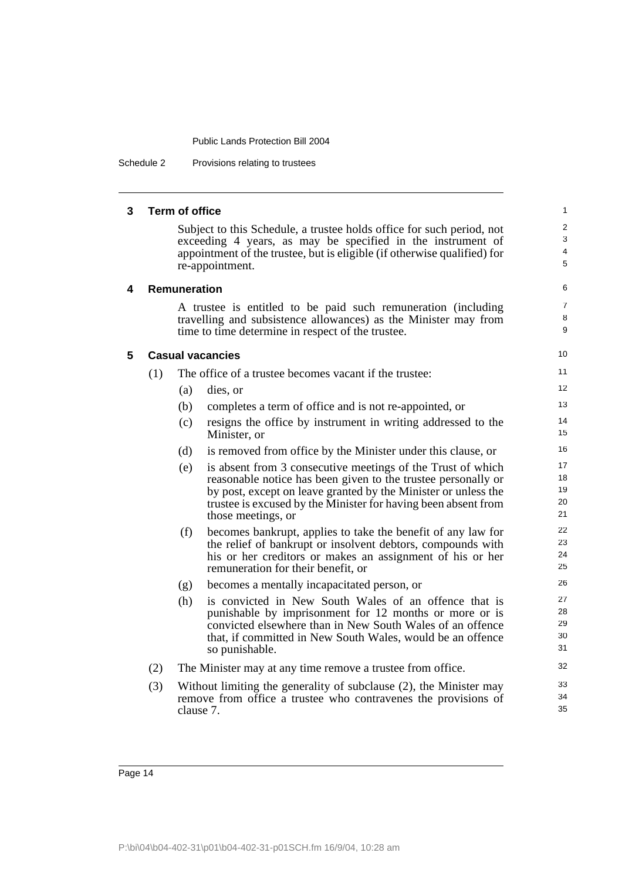Schedule 2 Provisions relating to trustees

| Term of office<br>3 |  |
|---------------------|--|
|---------------------|--|

Subject to this Schedule, a trustee holds office for such period, not exceeding 4 years, as may be specified in the instrument of appointment of the trustee, but is eligible (if otherwise qualified) for re-appointment.

5 6

> 7 8 **9**

### **4 Remuneration**

A trustee is entitled to be paid such remuneration (including travelling and subsistence allowances) as the Minister may from time to time determine in respect of the trustee.

| 5 | <b>Casual vacancies</b> |
|---|-------------------------|
|---|-------------------------|

| (1) | The office of a trustee becomes vacant if the trustee: |
|-----|--------------------------------------------------------|
|     |                                                        |

- (a) dies, or
- (b) completes a term of office and is not re-appointed, or
- (c) resigns the office by instrument in writing addressed to the Minister, or
- (d) is removed from office by the Minister under this clause, or
- (e) is absent from 3 consecutive meetings of the Trust of which reasonable notice has been given to the trustee personally or by post, except on leave granted by the Minister or unless the trustee is excused by the Minister for having been absent from those meetings, or
- (f) becomes bankrupt, applies to take the benefit of any law for the relief of bankrupt or insolvent debtors, compounds with his or her creditors or makes an assignment of his or her remuneration for their benefit, or
- (g) becomes a mentally incapacitated person, or
- (h) is convicted in New South Wales of an offence that is punishable by imprisonment for 12 months or more or is convicted elsewhere than in New South Wales of an offence that, if committed in New South Wales, would be an offence so punishable.
- (2) The Minister may at any time remove a trustee from office.
- (3) Without limiting the generality of subclause (2), the Minister may remove from office a trustee who contravenes the provisions of clause 7.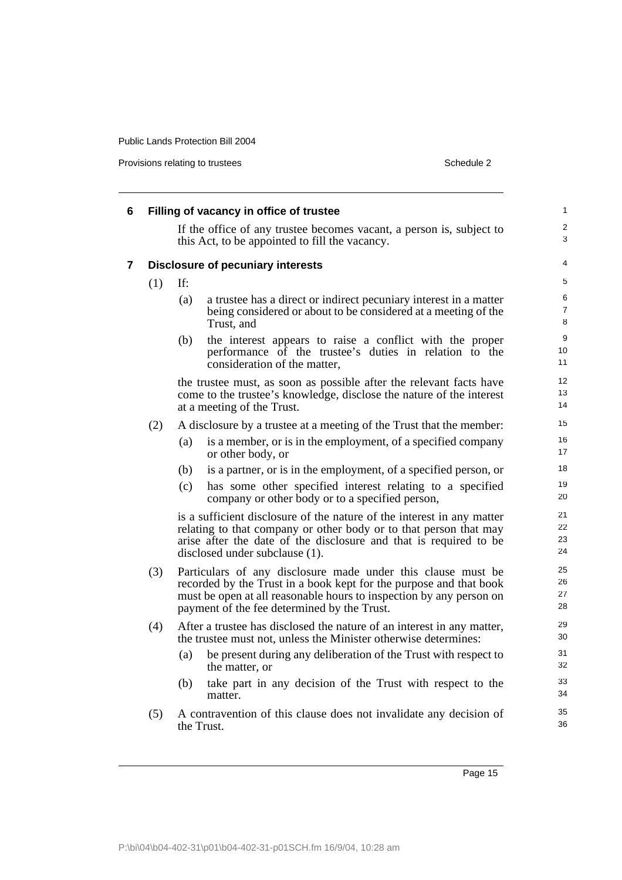Provisions relating to trustees Schedule 2

|     |     | Filling of vacancy in office of trustee                                                                                                                                                                                                                  |  |
|-----|-----|----------------------------------------------------------------------------------------------------------------------------------------------------------------------------------------------------------------------------------------------------------|--|
|     |     | If the office of any trustee becomes vacant, a person is, subject to<br>this Act, to be appointed to fill the vacancy.                                                                                                                                   |  |
|     |     | <b>Disclosure of pecuniary interests</b>                                                                                                                                                                                                                 |  |
| (1) | If: |                                                                                                                                                                                                                                                          |  |
|     | (a) | a trustee has a direct or indirect pecuniary interest in a matter<br>being considered or about to be considered at a meeting of the<br>Trust, and                                                                                                        |  |
|     | (b) | the interest appears to raise a conflict with the proper<br>performance of the trustee's duties in relation to the<br>consideration of the matter,                                                                                                       |  |
|     |     | the trustee must, as soon as possible after the relevant facts have<br>come to the trustee's knowledge, disclose the nature of the interest<br>at a meeting of the Trust.                                                                                |  |
| (2) |     | A disclosure by a trustee at a meeting of the Trust that the member:                                                                                                                                                                                     |  |
|     | (a) | is a member, or is in the employment, of a specified company<br>or other body, or                                                                                                                                                                        |  |
|     | (b) | is a partner, or is in the employment, of a specified person, or                                                                                                                                                                                         |  |
|     | (c) | has some other specified interest relating to a specified<br>company or other body or to a specified person,                                                                                                                                             |  |
|     |     | is a sufficient disclosure of the nature of the interest in any matter<br>relating to that company or other body or to that person that may<br>arise after the date of the disclosure and that is required to be<br>disclosed under subclause (1).       |  |
| (3) |     | Particulars of any disclosure made under this clause must be<br>recorded by the Trust in a book kept for the purpose and that book<br>must be open at all reasonable hours to inspection by any person on<br>payment of the fee determined by the Trust. |  |
| (4) |     | After a trustee has disclosed the nature of an interest in any matter,<br>the trustee must not, unless the Minister otherwise determines:                                                                                                                |  |
|     | (a) | be present during any deliberation of the Trust with respect to<br>the matter, or                                                                                                                                                                        |  |
|     | (b) | take part in any decision of the Trust with respect to the<br>matter.                                                                                                                                                                                    |  |
| (5) |     | A contravention of this clause does not invalidate any decision of<br>the Trust.                                                                                                                                                                         |  |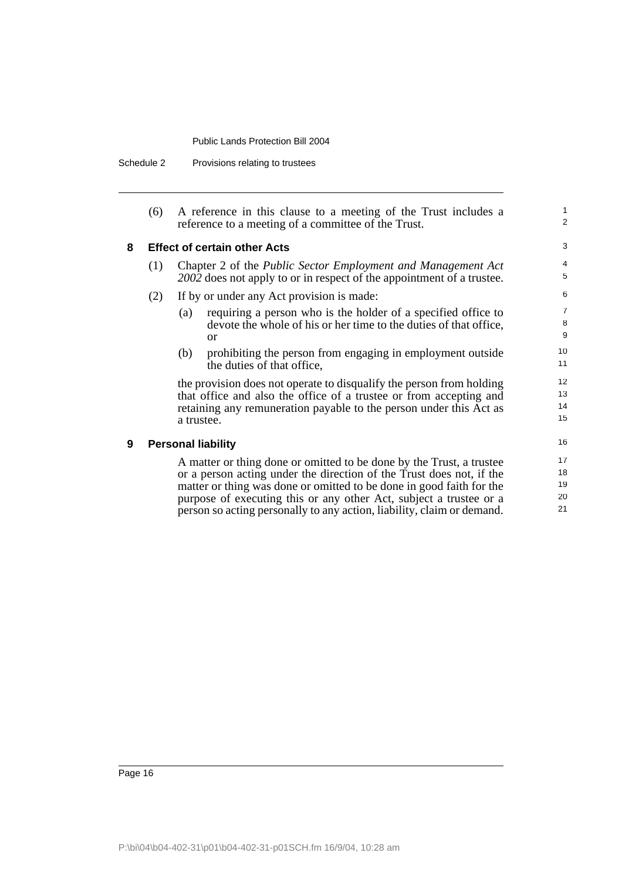Schedule 2 Provisions relating to trustees

| (6) | A reference in this clause to a meeting of the Trust includes a |
|-----|-----------------------------------------------------------------|
|     | reference to a meeting of a committee of the Trust.             |

1 2

#### **8 Effect of certain other Acts**

- (1) Chapter 2 of the *Public Sector Employment and Management Act 2002* does not apply to or in respect of the appointment of a trustee.
- (2) If by or under any Act provision is made:
	- (a) requiring a person who is the holder of a specified office to devote the whole of his or her time to the duties of that office, or
	- (b) prohibiting the person from engaging in employment outside the duties of that office,

the provision does not operate to disqualify the person from holding that office and also the office of a trustee or from accepting and retaining any remuneration payable to the person under this Act as a trustee.

**9 Personal liability**

A matter or thing done or omitted to be done by the Trust, a trustee or a person acting under the direction of the Trust does not, if the matter or thing was done or omitted to be done in good faith for the purpose of executing this or any other Act, subject a trustee or a person so acting personally to any action, liability, claim or demand.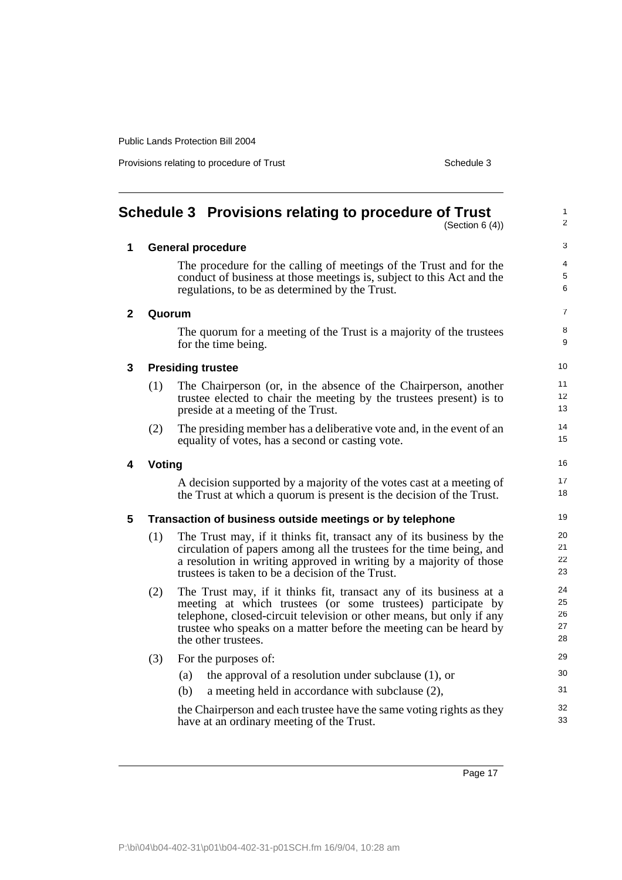Provisions relating to procedure of Trust Schedule 3

1 2

3

# <span id="page-24-0"></span>**Schedule 3 Provisions relating to procedure of Trust**

(Section 6 (4))

| 1              | <b>General procedure</b> |                                                                                                                                                                                                                                                                                                       |                      |  |  |
|----------------|--------------------------|-------------------------------------------------------------------------------------------------------------------------------------------------------------------------------------------------------------------------------------------------------------------------------------------------------|----------------------|--|--|
|                |                          | The procedure for the calling of meetings of the Trust and for the<br>conduct of business at those meetings is, subject to this Act and the<br>regulations, to be as determined by the Trust.                                                                                                         | 4<br>5<br>6          |  |  |
| $\overline{2}$ | Quorum                   |                                                                                                                                                                                                                                                                                                       | 7                    |  |  |
|                |                          | The quorum for a meeting of the Trust is a majority of the trustees<br>for the time being.                                                                                                                                                                                                            | 8<br>9               |  |  |
| 3              | <b>Presiding trustee</b> |                                                                                                                                                                                                                                                                                                       |                      |  |  |
|                | (1)                      | The Chairperson (or, in the absence of the Chairperson, another<br>trustee elected to chair the meeting by the trustees present) is to<br>preside at a meeting of the Trust.                                                                                                                          | 11<br>12<br>13       |  |  |
|                | (2)                      | The presiding member has a deliberative vote and, in the event of an<br>equality of votes, has a second or casting vote.                                                                                                                                                                              | 14<br>15             |  |  |
| 4              | Voting                   |                                                                                                                                                                                                                                                                                                       |                      |  |  |
|                |                          | A decision supported by a majority of the votes cast at a meeting of<br>the Trust at which a quorum is present is the decision of the Trust.                                                                                                                                                          | 17<br>18             |  |  |
| 5              |                          | Transaction of business outside meetings or by telephone                                                                                                                                                                                                                                              | 19                   |  |  |
|                | (1)                      | The Trust may, if it thinks fit, transact any of its business by the<br>circulation of papers among all the trustees for the time being, and<br>a resolution in writing approved in writing by a majority of those<br>trustees is taken to be a decision of the Trust.                                | 20<br>21<br>22<br>23 |  |  |
|                | (2)                      | The Trust may, if it thinks fit, transact any of its business at a<br>meeting at which trustees (or some trustees) participate by<br>telephone, closed-circuit television or other means, but only if any<br>trustee who speaks on a matter before the meeting can be heard by<br>the other trustees. |                      |  |  |
|                | (3)                      | For the purposes of:                                                                                                                                                                                                                                                                                  | 29                   |  |  |
|                |                          | the approval of a resolution under subclause $(1)$ , or<br>(a)                                                                                                                                                                                                                                        | 30                   |  |  |
|                |                          | (b)<br>a meeting held in accordance with subclause (2),                                                                                                                                                                                                                                               | 31                   |  |  |
|                |                          | the Chairperson and each trustee have the same voting rights as they<br>have at an ordinary meeting of the Trust.                                                                                                                                                                                     | 32<br>33             |  |  |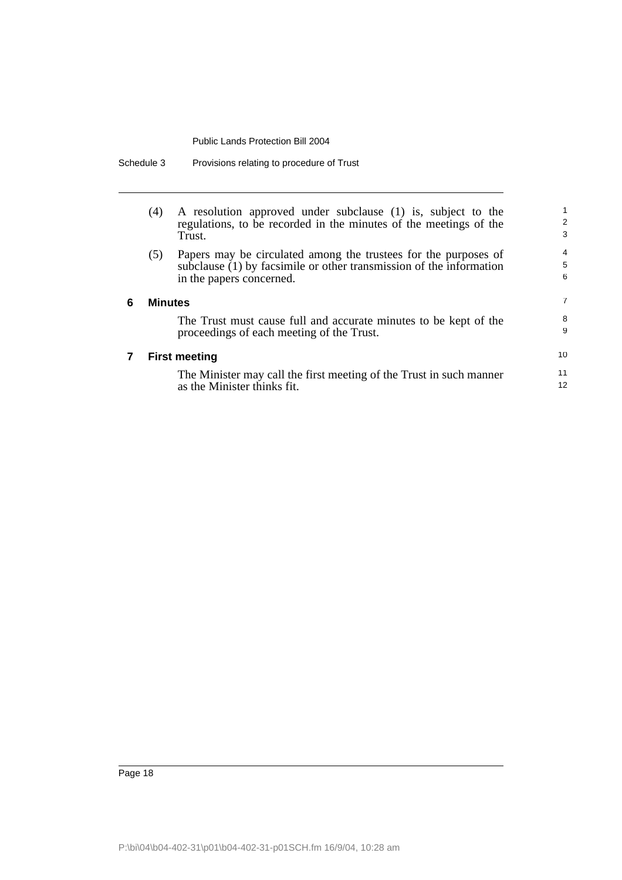| Schedule 3 |  | Provisions relating to procedure of Trust |  |
|------------|--|-------------------------------------------|--|
|------------|--|-------------------------------------------|--|

|   | (4)            | A resolution approved under subclause (1) is, subject to the<br>regulations, to be recorded in the minutes of the meetings of the<br>Trust.                        | 1<br>$\overline{2}$<br>3 |
|---|----------------|--------------------------------------------------------------------------------------------------------------------------------------------------------------------|--------------------------|
|   | (5)            | Papers may be circulated among the trustees for the purposes of<br>subclause (1) by facsimile or other transmission of the information<br>in the papers concerned. | 4<br>5<br>6              |
| 6 | <b>Minutes</b> |                                                                                                                                                                    | 7                        |
|   |                | The Trust must cause full and accurate minutes to be kept of the<br>proceedings of each meeting of the Trust.                                                      | 8<br>9                   |
|   |                | <b>First meeting</b>                                                                                                                                               | 10                       |
|   |                | The Minister may call the first meeting of the Trust in such manner<br>as the Minister thinks fit.                                                                 | 11<br>12                 |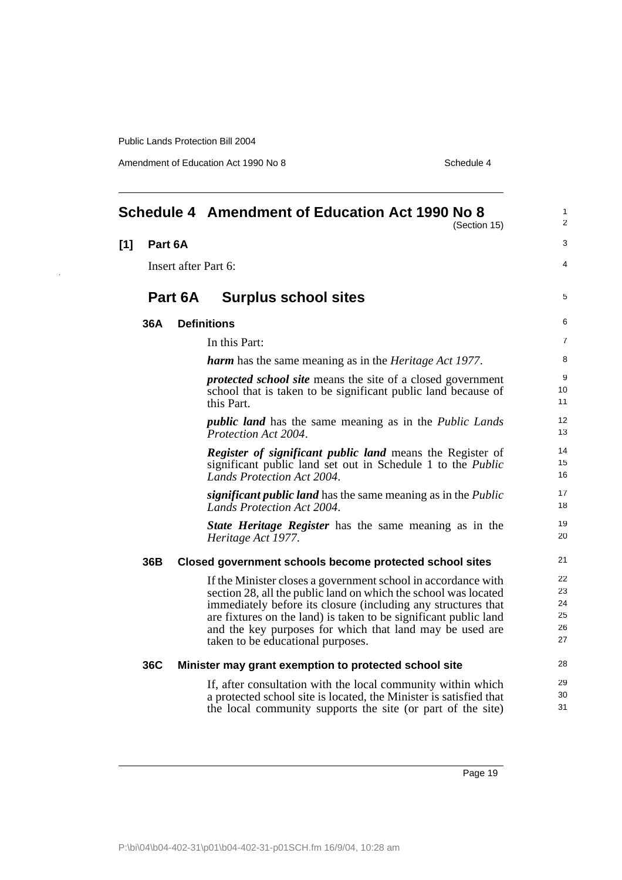Amendment of Education Act 1990 No 8 Schedule 4

<span id="page-26-0"></span>

|     |                                 |         | Schedule 4 Amendment of Education Act 1990 No 8<br>(Section 15)                                                                                                                                                                                                                                                                                                        |                                  |
|-----|---------------------------------|---------|------------------------------------------------------------------------------------------------------------------------------------------------------------------------------------------------------------------------------------------------------------------------------------------------------------------------------------------------------------------------|----------------------------------|
| [1] | Part 6A<br>Insert after Part 6: |         |                                                                                                                                                                                                                                                                                                                                                                        | 3                                |
|     |                                 |         |                                                                                                                                                                                                                                                                                                                                                                        | 4                                |
|     |                                 | Part 6A | <b>Surplus school sites</b>                                                                                                                                                                                                                                                                                                                                            | 5                                |
|     | 36A                             |         | <b>Definitions</b>                                                                                                                                                                                                                                                                                                                                                     | 6                                |
|     |                                 |         | In this Part:                                                                                                                                                                                                                                                                                                                                                          | 7                                |
|     |                                 |         | <b>harm</b> has the same meaning as in the <i>Heritage Act 1977</i> .                                                                                                                                                                                                                                                                                                  | 8                                |
|     |                                 |         | <i>protected school site</i> means the site of a closed government<br>school that is taken to be significant public land because of<br>this Part.                                                                                                                                                                                                                      | 9<br>10<br>11                    |
|     |                                 |         | <i>public land</i> has the same meaning as in the <i>Public Lands</i><br>Protection Act 2004.                                                                                                                                                                                                                                                                          | 12<br>13                         |
|     |                                 |         | <b>Register of significant public land</b> means the Register of<br>significant public land set out in Schedule 1 to the <i>Public</i><br>Lands Protection Act 2004.                                                                                                                                                                                                   | 14<br>15<br>16                   |
|     |                                 |         | significant public land has the same meaning as in the Public<br>Lands Protection Act 2004.                                                                                                                                                                                                                                                                            | 17<br>18                         |
|     |                                 |         | <b>State Heritage Register</b> has the same meaning as in the<br>Heritage Act 1977.                                                                                                                                                                                                                                                                                    | 19<br>20                         |
|     | 36B                             |         | Closed government schools become protected school sites                                                                                                                                                                                                                                                                                                                | 21                               |
|     |                                 |         | If the Minister closes a government school in accordance with<br>section 28, all the public land on which the school was located<br>immediately before its closure (including any structures that<br>are fixtures on the land) is taken to be significant public land<br>and the key purposes for which that land may be used are<br>taken to be educational purposes. | 22<br>23<br>24<br>25<br>26<br>27 |
|     | 36C                             |         | Minister may grant exemption to protected school site                                                                                                                                                                                                                                                                                                                  | 28                               |
|     |                                 |         | If, after consultation with the local community within which<br>a protected school site is located, the Minister is satisfied that<br>the local community supports the site (or part of the site)                                                                                                                                                                      | 29<br>30<br>31                   |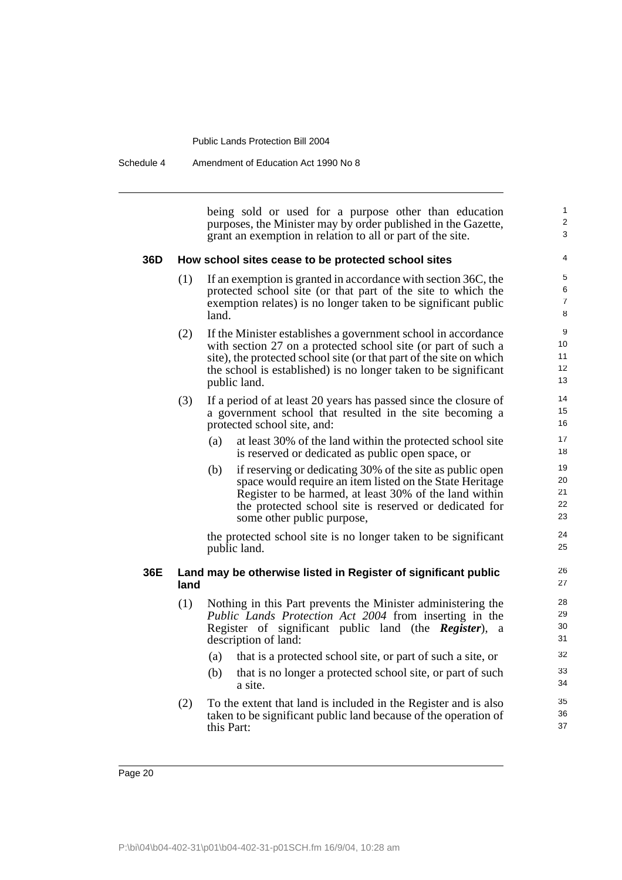Schedule 4 Amendment of Education Act 1990 No 8

being sold or used for a purpose other than education purposes, the Minister may by order published in the Gazette, grant an exemption in relation to all or part of the site.

1  $\overline{2}$ 3

#### **36D How school sites cease to be protected school sites**

- (1) If an exemption is granted in accordance with section 36C, the protected school site (or that part of the site to which the exemption relates) is no longer taken to be significant public land.
- (2) If the Minister establishes a government school in accordance with section 27 on a protected school site (or part of such a site), the protected school site (or that part of the site on which the school is established) is no longer taken to be significant public land.
- (3) If a period of at least 20 years has passed since the closure of a government school that resulted in the site becoming a protected school site, and:
	- (a) at least 30% of the land within the protected school site is reserved or dedicated as public open space, or
	- (b) if reserving or dedicating 30% of the site as public open space would require an item listed on the State Heritage Register to be harmed, at least 30% of the land within the protected school site is reserved or dedicated for some other public purpose,

the protected school site is no longer taken to be significant public land.

#### **36E Land may be otherwise listed in Register of significant public land**

- (1) Nothing in this Part prevents the Minister administering the *Public Lands Protection Act 2004* from inserting in the Register of significant public land (the *Register*), a description of land:
	- (a) that is a protected school site, or part of such a site, or
	- (b) that is no longer a protected school site, or part of such a site.
- (2) To the extent that land is included in the Register and is also taken to be significant public land because of the operation of this Part: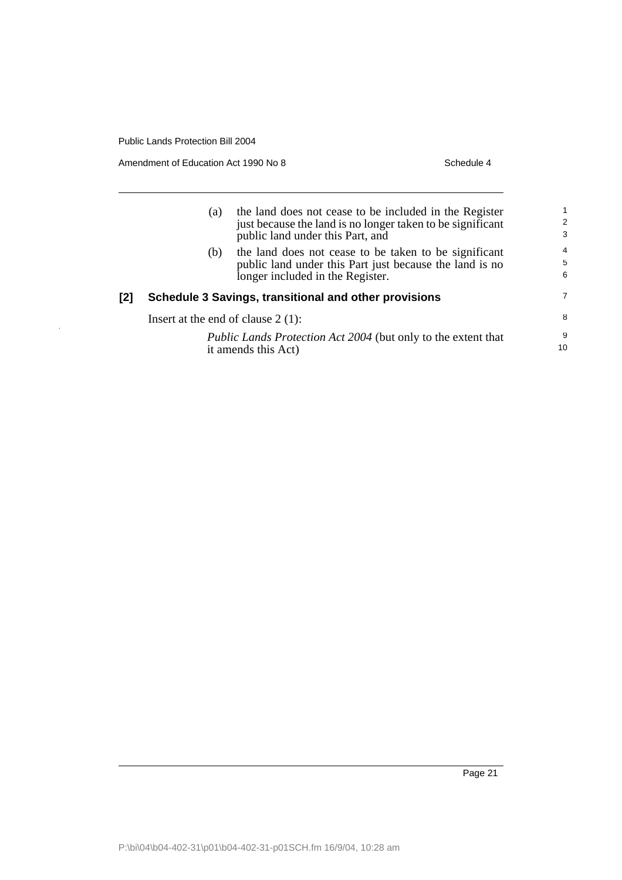$\hat{\mathcal{A}}$ 

Amendment of Education Act 1990 No 8 Schedule 4

|     | (a)                                                   | the land does not cease to be included in the Register<br>just because the land is no longer taken to be significant<br>public land under this Part, and | 2<br>3                   |
|-----|-------------------------------------------------------|----------------------------------------------------------------------------------------------------------------------------------------------------------|--------------------------|
|     | (b)                                                   | the land does not cease to be taken to be significant<br>public land under this Part just because the land is no<br>longer included in the Register.     | $\overline{4}$<br>5<br>6 |
| [2] | Schedule 3 Savings, transitional and other provisions |                                                                                                                                                          |                          |
|     | Insert at the end of clause $2(1)$ :                  |                                                                                                                                                          |                          |
|     |                                                       | Public Lands Protection Act 2004 (but only to the extent that<br>it amends this Act)                                                                     | 9<br>10                  |